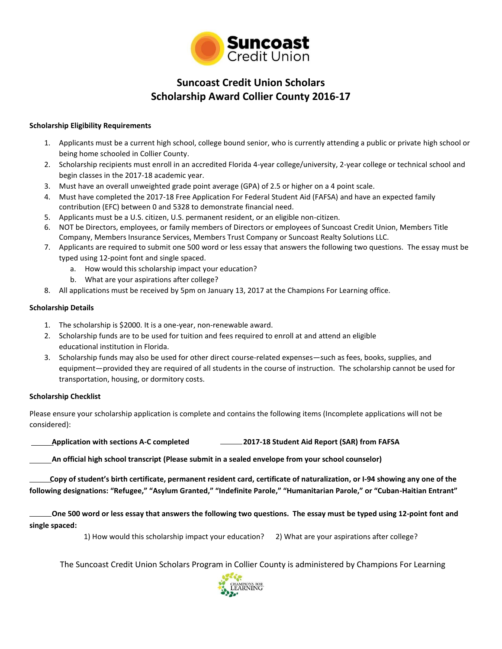

# **Suncoast Credit Union Scholars Scholarship Award Collier County 2016-17**

### **Scholarship Eligibility Requirements**

- 1. Applicants must be a current high school, college bound senior, who is currently attending a public or private high school or being home schooled in Collier County.
- 2. Scholarship recipients must enroll in an accredited Florida 4-year college/university, 2-year college or technical school and begin classes in the 2017-18 academic year.
- 3. Must have an overall unweighted grade point average (GPA) of 2.5 or higher on a 4 point scale.
- 4. Must have completed the 2017-18 Free Application For Federal Student Aid (FAFSA) and have an expected family contribution (EFC) between 0 and 5328 to demonstrate financial need.
- 5. Applicants must be a U.S. citizen, U.S. permanent resident, or an eligible non-citizen.
- 6. NOT be Directors, employees, or family members of Directors or employees of Suncoast Credit Union, Members Title Company, Members Insurance Services, Members Trust Company or Suncoast Realty Solutions LLC.
- 7. Applicants are required to submit one 500 word or less essay that answers the following two questions. The essay must be typed using 12-point font and single spaced.
	- a. How would this scholarship impact your education?
	- b. What are your aspirations after college?
- 8. All applications must be received by 5pm on January 13, 2017 at the Champions For Learning office.

#### **Scholarship Details**

- 1. The scholarship is \$2000. It is a one-year, non-renewable award.
- 2. Scholarship funds are to be used for tuition and fees required to enroll at and attend an eligible educational institution in Florida.
- 3. Scholarship funds may also be used for other direct course-related expenses—such as fees, books, supplies, and equipment—provided they are required of all students in the course of instruction. The scholarship cannot be used for transportation, housing, or dormitory costs.

#### **Scholarship Checklist**

Please ensure your scholarship application is complete and contains the following items (Incomplete applications will not be considered):

**Application with sections A-C completed 2017-18 Student Aid Report (SAR) from FAFSA**

 **An official high school transcript (Please submit in a sealed envelope from your school counselor)** 

 **Copy of student's birth certificate, permanent resident card, certificate of naturalization, or I-94 showing any one of the following designations: "Refugee," "Asylum Granted," "Indefinite Parole," "Humanitarian Parole," or "Cuban-Haitian Entrant"**

 **One 500 word or less essay that answers the following two questions. The essay must be typed using 12-point font and single spaced:**

1) How would this scholarship impact your education? 2) What are your aspirations after college?

The Suncoast Credit Union Scholars Program in Collier County is administered by Champions For Learning

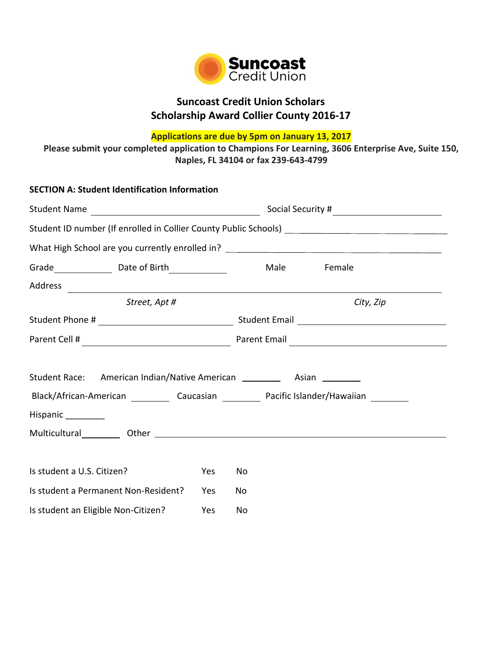

# **Suncoast Credit Union Scholars Scholarship Award Collier County 2016-17**

**Applications are due by 5pm on January 13, 2017**

**Please submit your completed application to Champions For Learning, 3606 Enterprise Ave, Suite 150, Naples, FL 34104 or fax 239-643-4799**

| <b>SECTION A: Student Identification Information</b>                                                                                                                                                                                                                                                                                                                                                                                   |     |                   |                |  |
|----------------------------------------------------------------------------------------------------------------------------------------------------------------------------------------------------------------------------------------------------------------------------------------------------------------------------------------------------------------------------------------------------------------------------------------|-----|-------------------|----------------|--|
| Student Name                                                                                                                                                                                                                                                                                                                                                                                                                           |     | Social Security # |                |  |
| Student ID number (If enrolled in Collier County Public Schools) __________________________________                                                                                                                                                                                                                                                                                                                                    |     |                   |                |  |
|                                                                                                                                                                                                                                                                                                                                                                                                                                        |     |                   |                |  |
|                                                                                                                                                                                                                                                                                                                                                                                                                                        |     |                   | Male<br>Female |  |
|                                                                                                                                                                                                                                                                                                                                                                                                                                        |     |                   |                |  |
| Street, Apt #                                                                                                                                                                                                                                                                                                                                                                                                                          |     |                   | City, Zip      |  |
|                                                                                                                                                                                                                                                                                                                                                                                                                                        |     |                   |                |  |
|                                                                                                                                                                                                                                                                                                                                                                                                                                        |     |                   |                |  |
| Student Race: American Indian/Native American ___________ Asian _________<br>Black/African-American ____________ Caucasian ____________ Pacific Islander/Hawaiian __________<br>Hispanic  __________<br>Multicultural Dther Chemical Communication of the Chemical Chemical Chemical Chemical Chemical Chemical Chemical Chemical Chemical Chemical Chemical Chemical Chemical Chemical Chemical Chemical Chemical Chemical Chemical C |     |                   |                |  |
| Is student a U.S. Citizen?                                                                                                                                                                                                                                                                                                                                                                                                             | Yes | No.               |                |  |
| Is student a Permanent Non-Resident?                                                                                                                                                                                                                                                                                                                                                                                                   | Yes | No                |                |  |
| Is student an Eligible Non-Citizen?<br>Yes                                                                                                                                                                                                                                                                                                                                                                                             |     | No                |                |  |